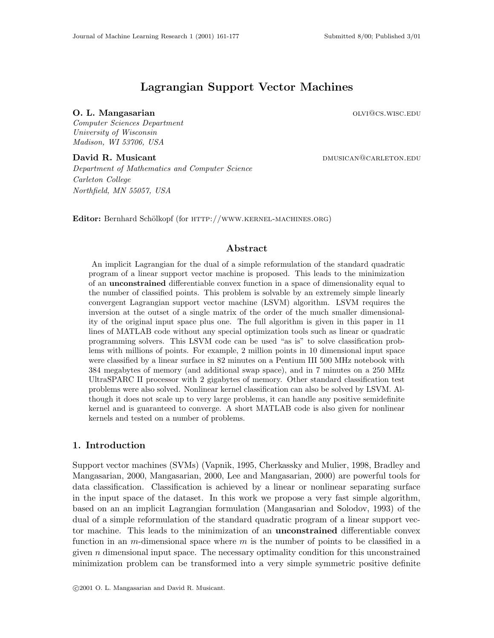# Lagrangian Support Vector Machines

### **O. L. Mangasarian older and Service Contract Contract Contract Contract Contract Contract Contract Contract Contract Contract Contract Contract Contract Contract Contract Contract Contract Contract Contract Contract Con**

Computer Sciences Department University of Wisconsin Madison, WI 53706, USA

David R. Musicant de Carleton. Communication and the DAUSICAN CARLETON.EDU

Department of Mathematics and Computer Science Carleton College Northfield, MN 55057, USA

Editor: Bernhard Schölkopf (for HTTP://WWW.KERNEL-MACHINES.ORG)

### Abstract

An implicit Lagrangian for the dual of a simple reformulation of the standard quadratic program of a linear support vector machine is proposed. This leads to the minimization of an unconstrained differentiable convex function in a space of dimensionality equal to the number of classified points. This problem is solvable by an extremely simple linearly convergent Lagrangian support vector machine (LSVM) algorithm. LSVM requires the inversion at the outset of a single matrix of the order of the much smaller dimensionality of the original input space plus one. The full algorithm is given in this paper in 11 lines of MATLAB code without any special optimization tools such as linear or quadratic programming solvers. This LSVM code can be used "as is" to solve classification problems with millions of points. For example, 2 million points in 10 dimensional input space were classified by a linear surface in 82 minutes on a Pentium III 500 MHz notebook with 384 megabytes of memory (and additional swap space), and in 7 minutes on a 250 MHz UltraSPARC II processor with 2 gigabytes of memory. Other standard classification test problems were also solved. Nonlinear kernel classification can also be solved by LSVM. Although it does not scale up to very large problems, it can handle any positive semidefinite kernel and is guaranteed to converge. A short MATLAB code is also given for nonlinear kernels and tested on a number of problems.

### 1. Introduction

Support vector machines (SVMs) (Vapnik, 1995, Cherkassky and Mulier, 1998, Bradley and Mangasarian, 2000, Mangasarian, 2000, Lee and Mangasarian, 2000) are powerful tools for data classification. Classification is achieved by a linear or nonlinear separating surface in the input space of the dataset. In this work we propose a very fast simple algorithm, based on an an implicit Lagrangian formulation (Mangasarian and Solodov, 1993) of the dual of a simple reformulation of the standard quadratic program of a linear support vector machine. This leads to the minimization of an unconstrained differentiable convex function in an m-dimensional space where m is the number of points to be classified in a given n dimensional input space. The necessary optimality condition for this unconstrained minimization problem can be transformed into a very simple symmetric positive definite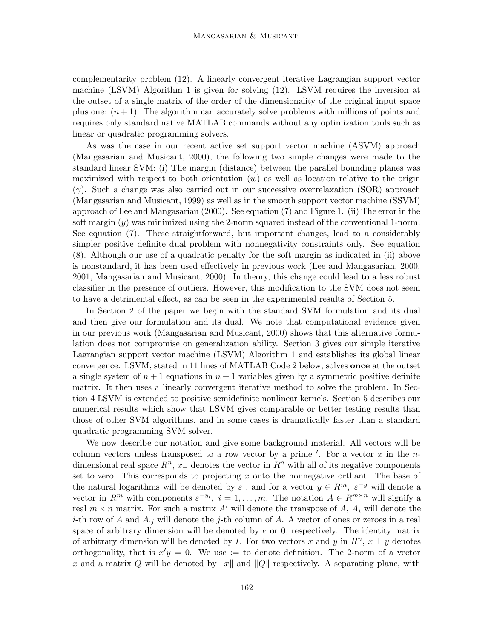complementarity problem (12). A linearly convergent iterative Lagrangian support vector machine (LSVM) Algorithm 1 is given for solving (12). LSVM requires the inversion at the outset of a single matrix of the order of the dimensionality of the original input space plus one:  $(n+1)$ . The algorithm can accurately solve problems with millions of points and requires only standard native MATLAB commands without any optimization tools such as linear or quadratic programming solvers.

As was the case in our recent active set support vector machine (ASVM) approach (Mangasarian and Musicant, 2000), the following two simple changes were made to the standard linear SVM: (i) The margin (distance) between the parallel bounding planes was maximized with respect to both orientation  $(w)$  as well as location relative to the origin  $(\gamma)$ . Such a change was also carried out in our successive overrelaxation (SOR) approach (Mangasarian and Musicant, 1999) as well as in the smooth support vector machine (SSVM) approach of Lee and Mangasarian (2000). See equation (7) and Figure 1. (ii) The error in the soft margin  $(y)$  was minimized using the 2-norm squared instead of the conventional 1-norm. See equation (7). These straightforward, but important changes, lead to a considerably simpler positive definite dual problem with nonnegativity constraints only. See equation (8). Although our use of a quadratic penalty for the soft margin as indicated in (ii) above is nonstandard, it has been used effectively in previous work (Lee and Mangasarian, 2000, 2001, Mangasarian and Musicant, 2000). In theory, this change could lead to a less robust classifier in the presence of outliers. However, this modification to the SVM does not seem to have a detrimental effect, as can be seen in the experimental results of Section 5.

In Section 2 of the paper we begin with the standard SVM formulation and its dual and then give our formulation and its dual. We note that computational evidence given in our previous work (Mangasarian and Musicant, 2000) shows that this alternative formulation does not compromise on generalization ability. Section 3 gives our simple iterative Lagrangian support vector machine (LSVM) Algorithm 1 and establishes its global linear convergence. LSVM, stated in 11 lines of MATLAB Code 2 below, solves once at the outset a single system of  $n + 1$  equations in  $n + 1$  variables given by a symmetric positive definite matrix. It then uses a linearly convergent iterative method to solve the problem. In Section 4 LSVM is extended to positive semidefinite nonlinear kernels. Section 5 describes our numerical results which show that LSVM gives comparable or better testing results than those of other SVM algorithms, and in some cases is dramatically faster than a standard quadratic programming SVM solver.

We now describe our notation and give some background material. All vectors will be column vectors unless transposed to a row vector by a prime  $\prime$ . For a vector x in the ndimensional real space  $R^n$ ,  $x_+$  denotes the vector in  $R^n$  with all of its negative components set to zero. This corresponds to projecting x onto the nonnegative orthant. The base of the natural logarithms will be denoted by  $\varepsilon$ , and for a vector  $y \in R^m$ ,  $\varepsilon^{-y}$  will denote a vector in  $R^m$  with components  $\varepsilon^{-y_i}$ ,  $i=1,\ldots,m$ . The notation  $A \in R^{m \times n}$  will signify a real  $m \times n$  matrix. For such a matrix A' will denote the transpose of A,  $A_i$  will denote the *i*-th row of A and  $A_{i,j}$  will denote the j-th column of A. A vector of ones or zeroes in a real space of arbitrary dimension will be denoted by  $e$  or 0, respectively. The identity matrix of arbitrary dimension will be denoted by I. For two vectors x and y in  $R<sup>n</sup>$ ,  $x \perp y$  denotes orthogonality, that is  $x'y = 0$ . We use := to denote definition. The 2-norm of a vector x and a matrix Q will be denoted by  $||x||$  and  $||Q||$  respectively. A separating plane, with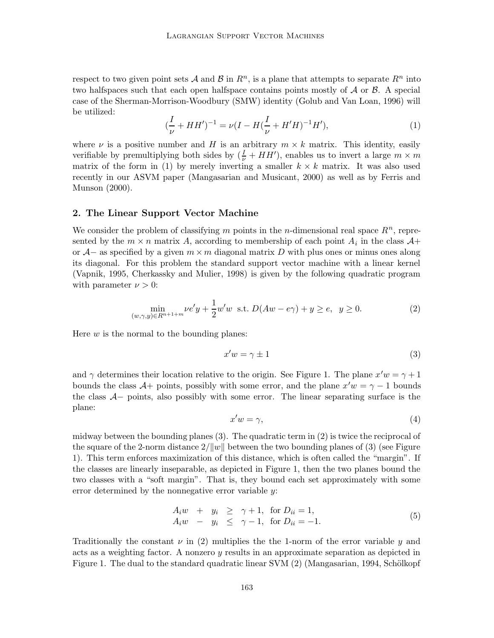respect to two given point sets A and B in  $R^n$ , is a plane that attempts to separate  $R^n$  into two halfspaces such that each open halfspace contains points mostly of  $A$  or  $B$ . A special case of the Sherman-Morrison-Woodbury (SMW) identity (Golub and Van Loan, 1996) will be utilized:

$$
(\frac{I}{\nu} + HH')^{-1} = \nu(I - H(\frac{I}{\nu} + H'H)^{-1}H'),\tag{1}
$$

where  $\nu$  is a positive number and H is an arbitrary  $m \times k$  matrix. This identity, easily verifiable by premultiplying both sides by  $(\frac{I}{\nu} + HH')$ , enables us to invert a large  $m \times m$ matrix of the form in (1) by merely inverting a smaller  $k \times k$  matrix. It was also used recently in our ASVM paper (Mangasarian and Musicant, 2000) as well as by Ferris and Munson (2000).

### 2. The Linear Support Vector Machine

We consider the problem of classifying m points in the n-dimensional real space  $R<sup>n</sup>$ , represented by the  $m \times n$  matrix A, according to membership of each point  $A_i$  in the class  $A+$ or  $\mathcal{A}-$  as specified by a given  $m \times m$  diagonal matrix D with plus ones or minus ones along its diagonal. For this problem the standard support vector machine with a linear kernel (Vapnik, 1995, Cherkassky and Mulier, 1998) is given by the following quadratic program with parameter  $\nu > 0$ :

$$
\min_{(w,\gamma,y)\in R^{n+1+m}} \nu e' y + \frac{1}{2} w' w \text{ s.t. } D(Aw - e\gamma) + y \ge e, \ \ y \ge 0. \tag{2}
$$

Here  $w$  is the normal to the bounding planes:

$$
x'w = \gamma \pm 1\tag{3}
$$

and  $\gamma$  determines their location relative to the origin. See Figure 1. The plane  $x'w = \gamma + 1$ bounds the class  $\mathcal{A}$ + points, possibly with some error, and the plane  $x'w = \gamma - 1$  bounds the class A− points, also possibly with some error. The linear separating surface is the plane:

$$
x'w = \gamma,\tag{4}
$$

midway between the bounding planes (3). The quadratic term in (2) is twice the reciprocal of the square of the 2-norm distance  $2/||w||$  between the two bounding planes of (3) (see Figure 1). This term enforces maximization of this distance, which is often called the "margin". If the classes are linearly inseparable, as depicted in Figure 1, then the two planes bound the two classes with a "soft margin". That is, they bound each set approximately with some error determined by the nonnegative error variable y:

$$
A_i w + y_i \geq \gamma + 1, \text{ for } D_{ii} = 1,
$$
  
\n
$$
A_i w - y_i \leq \gamma - 1, \text{ for } D_{ii} = -1.
$$
\n(5)

Traditionally the constant  $\nu$  in (2) multiplies the the 1-norm of the error variable  $\gamma$  and acts as a weighting factor. A nonzero y results in an approximate separation as depicted in Figure 1. The dual to the standard quadratic linear SVM  $(2)$  (Mangasarian, 1994, Schölkopf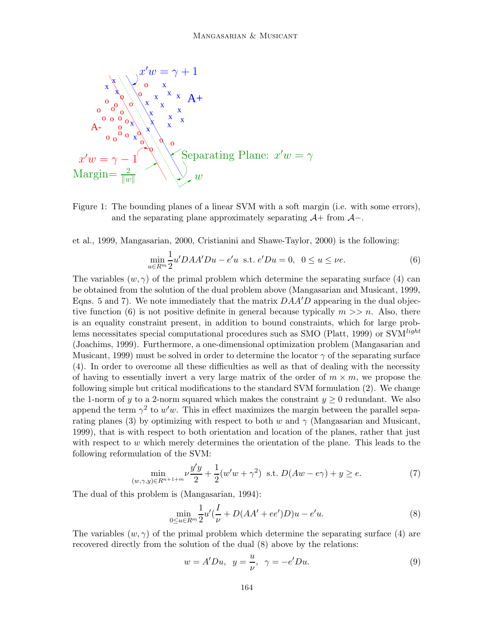

PSfrag replacements



et al., 1999, Mangasarian, 2000, Cristianini and Shawe-Taylor, 2000) is the following:

$$
\min_{u \in R^m} \frac{1}{2} u' D A A' D u - e' u \text{ s.t. } e' D u = 0, \ \ 0 \le u \le \nu e. \tag{6}
$$

The variables  $(w, \gamma)$  of the primal problem which determine the separating surface (4) can be obtained from the solution of the dual problem above (Mangasarian and Musicant, 1999, Eqns. 5 and 7). We note immediately that the matrix  $DAA'D$  appearing in the dual objective function (6) is not positive definite in general because typically  $m >> n$ . Also, there is an equality constraint present, in addition to bound constraints, which for large problems necessitates special computational procedures such as SMO (Platt, 1999) or SVM<sup>light</sup> (Joachims, 1999). Furthermore, a one-dimensional optimization problem (Mangasarian and Musicant, 1999) must be solved in order to determine the locator  $\gamma$  of the separating surface (4). In order to overcome all these difficulties as well as that of dealing with the necessity of having to essentially invert a very large matrix of the order of  $m \times m$ , we propose the following simple but critical modifications to the standard SVM formulation (2). We change the 1-norm of y to a 2-norm squared which makes the constraint  $y \geq 0$  redundant. We also append the term  $\gamma^2$  to w'w. This in effect maximizes the margin between the parallel separating planes (3) by optimizing with respect to both w and  $\gamma$  (Mangasarian and Musicant, 1999), that is with respect to both orientation and location of the planes, rather that just with respect to  $w$  which merely determines the orientation of the plane. This leads to the following reformulation of the SVM:

$$
\min_{(w,\gamma,y)\in R^{n+1+m}} \nu \frac{y'y}{2} + \frac{1}{2}(w'w + \gamma^2) \text{ s.t. } D(Aw - e\gamma) + y \ge e. \tag{7}
$$

The dual of this problem is (Mangasarian, 1994):

$$
\min_{0 \le u \in R^m} \frac{1}{2} u'(\frac{I}{\nu} + D(AA' + ee')D)u - e'u.
$$
\n(8)

The variables  $(w, \gamma)$  of the primal problem which determine the separating surface (4) are recovered directly from the solution of the dual (8) above by the relations:

$$
w = A'Du, \quad y = \frac{u}{\nu}, \quad \gamma = -e'Du.
$$
\n<sup>(9)</sup>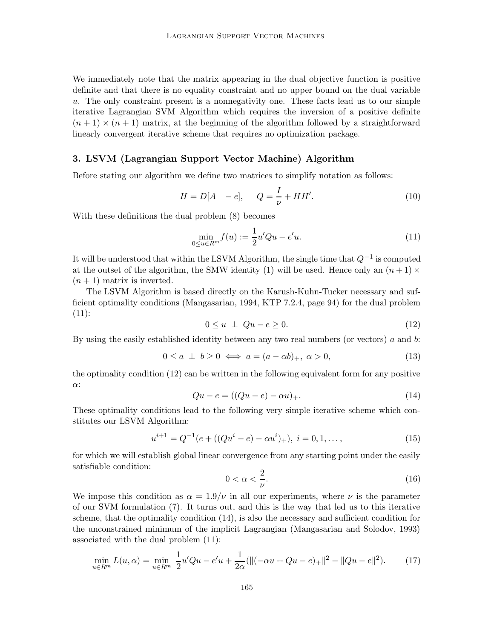We immediately note that the matrix appearing in the dual objective function is positive definite and that there is no equality constraint and no upper bound on the dual variable u. The only constraint present is a nonnegativity one. These facts lead us to our simple iterative Lagrangian SVM Algorithm which requires the inversion of a positive definite  $(n+1) \times (n+1)$  matrix, at the beginning of the algorithm followed by a straightforward linearly convergent iterative scheme that requires no optimization package.

### 3. LSVM (Lagrangian Support Vector Machine) Algorithm

Before stating our algorithm we define two matrices to simplify notation as follows:

$$
H = D[A \ -e], \quad Q = \frac{I}{\nu} + HH'. \tag{10}
$$

With these definitions the dual problem (8) becomes

$$
\min_{0 \le u \in R^m} f(u) := \frac{1}{2} u' Qu - e'u.
$$
\n(11)

It will be understood that within the LSVM Algorithm, the single time that  $Q^{-1}$  is computed at the outset of the algorithm, the SMW identity (1) will be used. Hence only an  $(n+1) \times$  $(n+1)$  matrix is inverted.

The LSVM Algorithm is based directly on the Karush-Kuhn-Tucker necessary and sufficient optimality conditions (Mangasarian, 1994, KTP 7.2.4, page 94) for the dual problem  $(11)$ :

$$
0 \le u \perp Qu - e \ge 0. \tag{12}
$$

By using the easily established identity between any two real numbers (or vectors)  $a$  and  $b$ :

$$
0 \le a \perp b \ge 0 \iff a = (a - \alpha b)_{+}, \ \alpha > 0,
$$
\n
$$
(13)
$$

the optimality condition (12) can be written in the following equivalent form for any positive α:

$$
Qu - e = ((Qu - e) - \alpha u)_+.
$$
\n(14)

These optimality conditions lead to the following very simple iterative scheme which constitutes our LSVM Algorithm:

$$
u^{i+1} = Q^{-1}(e + ((Qu^i - e) - \alpha u^i)_+), \ i = 0, 1, \dots,
$$
\n(15)

for which we will establish global linear convergence from any starting point under the easily satisfiable condition:

$$
0 < \alpha < \frac{2}{\nu}.\tag{16}
$$

We impose this condition as  $\alpha = 1.9/\nu$  in all our experiments, where  $\nu$  is the parameter of our SVM formulation (7). It turns out, and this is the way that led us to this iterative scheme, that the optimality condition (14), is also the necessary and sufficient condition for the unconstrained minimum of the implicit Lagrangian (Mangasarian and Solodov, 1993) associated with the dual problem (11):

$$
\min_{u \in R^m} L(u, \alpha) = \min_{u \in R^m} \frac{1}{2} u' Qu - e'u + \frac{1}{2\alpha} (\|(-\alpha u + Qu - e)_+\|^2 - \|Qu - e\|^2). \tag{17}
$$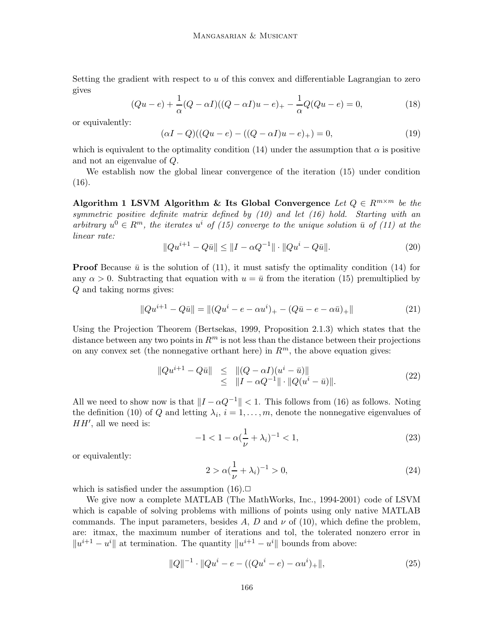Setting the gradient with respect to  $u$  of this convex and differentiable Lagrangian to zero gives

$$
(Qu - e) + \frac{1}{\alpha}(Q - \alpha I)((Q - \alpha I)u - e)_{+} - \frac{1}{\alpha}Q(Qu - e) = 0,
$$
\n(18)

or equivalently:

$$
(\alpha I - Q)((Qu - e) - ((Q - \alpha I)u - e)_+) = 0,
$$
\n(19)

which is equivalent to the optimality condition (14) under the assumption that  $\alpha$  is positive and not an eigenvalue of Q.

We establish now the global linear convergence of the iteration (15) under condition  $(16).$ 

Algorithm 1 LSVM Algorithm & Its Global Convergence Let  $Q \in R^{m \times m}$  be the symmetric positive definite matrix defined by (10) and let (16) hold. Starting with an arbitrary  $u^0 \in R^m$ , the iterates  $u^i$  of (15) converge to the unique solution  $\bar{u}$  of (11) at the linear rate:

$$
||Qu^{i+1} - Q\bar{u}|| \le ||I - \alpha Q^{-1}|| \cdot ||Qu^{i} - Q\bar{u}||. \tag{20}
$$

**Proof** Because  $\bar{u}$  is the solution of (11), it must satisfy the optimality condition (14) for any  $\alpha > 0$ . Subtracting that equation with  $u = \bar{u}$  from the iteration (15) premultiplied by Q and taking norms gives:

$$
||Qu^{i+1} - Q\bar{u}|| = ||(Qu^{i} - e - \alpha u^{i})_{+} - (Q\bar{u} - e - \alpha \bar{u})_{+}||
$$
\n(21)

Using the Projection Theorem (Bertsekas, 1999, Proposition 2.1.3) which states that the distance between any two points in  $\mathbb{R}^m$  is not less than the distance between their projections on any convex set (the nonnegative orthant here) in  $\mathbb{R}^m$ , the above equation gives:

$$
\|Qu^{i+1} - Q\bar{u}\| \leq \| (Q - \alpha I)(u^i - \bar{u}) \| \leq \| I - \alpha Q^{-1} \| \cdot \| Q(u^i - \bar{u}) \|.
$$
\n(22)

All we need to show now is that  $||I - \alpha Q^{-1}|| < 1$ . This follows from (16) as follows. Noting the definition (10) of Q and letting  $\lambda_i$ ,  $i = 1, \ldots, m$ , denote the nonnegative eigenvalues of  $HH'$ , all we need is:

$$
-1 < 1 - \alpha \left(\frac{1}{\nu} + \lambda_i\right)^{-1} < 1,\tag{23}
$$

or equivalently:

$$
2 > \alpha \left(\frac{1}{\nu} + \lambda_i\right)^{-1} > 0,\tag{24}
$$

which is satisfied under the assumption  $(16)$ .

We give now a complete MATLAB (The MathWorks, Inc., 1994-2001) code of LSVM which is capable of solving problems with millions of points using only native MATLAB commands. The input parameters, besides A, D and  $\nu$  of (10), which define the problem, are: itmax, the maximum number of iterations and tol, the tolerated nonzero error in  $||u^{i+1} - u^i||$  at termination. The quantity  $||u^{i+1} - u^i||$  bounds from above:

$$
||Q||^{-1} \cdot ||Qu^{i} - e - ((Qu^{i} - e) - \alpha u^{i})_{+}||,
$$
\n(25)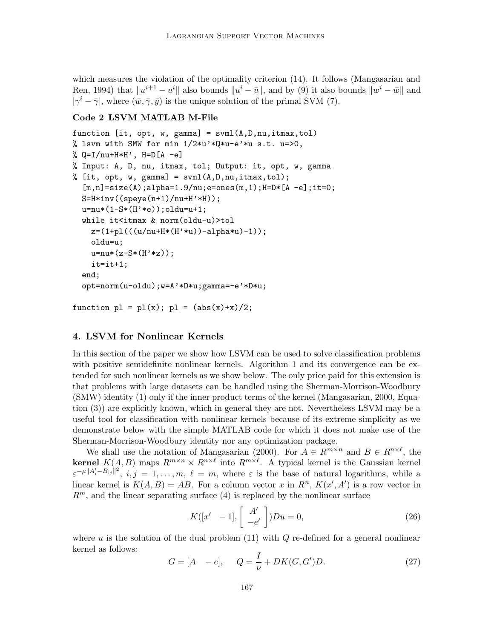which measures the violation of the optimality criterion (14). It follows (Mangasarian and Ren, 1994) that  $\|u^{i+1} - u^i\|$  also bounds  $\|u^i - \bar{u}\|$ , and by (9) it also bounds  $\|w^i - \bar{w}\|$  and  $|\gamma^i - \bar{\gamma}|$ , where  $(\bar{w}, \bar{\gamma}, \bar{y})$  is the unique solution of the primal SVM (7).

### Code 2 LSVM MATLAB M-File

```
function [it, opt, w, gamma] = svm1(A,D,nu,itmax,tol)% lsvm with SMW for min 1/2*u'*Q*u-e'*u s.t. u=>0,
% Q=I/nu+H*H', H=D[A -e]% Input: A, D, nu, itmax, tol; Output: it, opt, w, gamma
% [it, opt, w, gamma] = svm1(A, D, nu, itmax, tol);[m,n] = size(A); alpha = 1.9/nu; e = ones(m,1); H = D * [A - e]; it = 0;S=H*inv(Gpeye(n+1)/nu+H'*H));u=nu*(1-S*(H'*e)); oldu=u+1;
  while it<itmax & norm(oldu-u)>tol
    z=(1+p1(((u/nu+H*(H'*u))-alpha*u)-1));oldu=u;
    u=nu*(z-S*(H'*z));it=it+1;
  end;
  opt=norm(u-oldu);w=A'*D*u;gamma=-e'*D*u;
```

```
function p1 = p1(x); p1 = (abs(x)+x)/2;
```
# 4. LSVM for Nonlinear Kernels

In this section of the paper we show how LSVM can be used to solve classification problems with positive semidefinite nonlinear kernels. Algorithm 1 and its convergence can be extended for such nonlinear kernels as we show below. The only price paid for this extension is that problems with large datasets can be handled using the Sherman-Morrison-Woodbury (SMW) identity (1) only if the inner product terms of the kernel (Mangasarian, 2000, Equation (3)) are explicitly known, which in general they are not. Nevertheless LSVM may be a useful tool for classification with nonlinear kernels because of its extreme simplicity as we demonstrate below with the simple MATLAB code for which it does not make use of the Sherman-Morrison-Woodbury identity nor any optimization package.

We shall use the notation of Mangasarian (2000). For  $A \in R^{m \times n}$  and  $B \in R^{n \times \ell}$ , the **kernel**  $K(A, B)$  maps  $R^{m \times n} \times R^{n \times \ell}$  into  $R^{m \times \ell}$ . A typical kernel is the Gaussian kernel  $\epsilon^{-\mu \|A_i'-B_{\cdot,j}\|^2}, i,j = 1,\ldots,m, \ell = m$ , where  $\epsilon$  is the base of natural logarithms, while a linear kernel is  $K(A, B) = AB$ . For a column vector x in  $R<sup>n</sup>$ ,  $K(x', A')$  is a row vector in  $R^m$ , and the linear separating surface (4) is replaced by the nonlinear surface

$$
K([x' - 1], \begin{bmatrix} A' \\ -e' \end{bmatrix})Du = 0,
$$
\n(26)

where u is the solution of the dual problem  $(11)$  with Q re-defined for a general nonlinear kernel as follows:

$$
G = [A \ -e], \quad Q = \frac{I}{\nu} + DK(G, G')D. \tag{27}
$$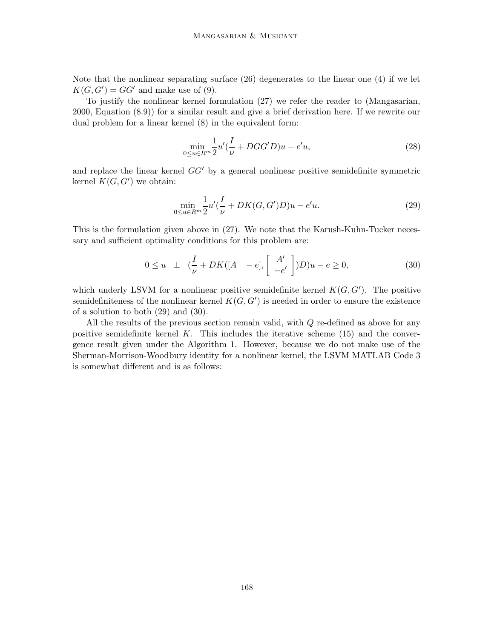Note that the nonlinear separating surface (26) degenerates to the linear one (4) if we let  $K(G, G') = GG'$  and make use of (9).

To justify the nonlinear kernel formulation (27) we refer the reader to (Mangasarian, 2000, Equation (8.9)) for a similar result and give a brief derivation here. If we rewrite our dual problem for a linear kernel (8) in the equivalent form:

$$
\min_{0 \le u \in R^m} \frac{1}{2} u'(\frac{I}{\nu} + DGG'D)u - e'u,\tag{28}
$$

and replace the linear kernel  $GG'$  by a general nonlinear positive semidefinite symmetric kernel  $K(G, G')$  we obtain:

$$
\min_{0 \le u \in R^m} \frac{1}{2} u'(\frac{I}{\nu} + DK(G, G'))u - e'u.
$$
\n(29)

This is the formulation given above in (27). We note that the Karush-Kuhn-Tucker necessary and sufficient optimality conditions for this problem are:

$$
0 \le u \quad \perp \quad (\frac{I}{\nu} + DK([A \quad -e], \left[ \begin{array}{c} A' \\ -e' \end{array} \right])D)u - e \ge 0,
$$
\n
$$
(30)
$$

which underly LSVM for a nonlinear positive semidefinite kernel  $K(G, G')$ . The positive semidefiniteness of the nonlinear kernel  $K(G, G')$  is needed in order to ensure the existence of a solution to both (29) and (30).

All the results of the previous section remain valid, with Q re-defined as above for any positive semidefinite kernel K. This includes the iterative scheme  $(15)$  and the convergence result given under the Algorithm 1. However, because we do not make use of the Sherman-Morrison-Woodbury identity for a nonlinear kernel, the LSVM MATLAB Code 3 is somewhat different and is as follows: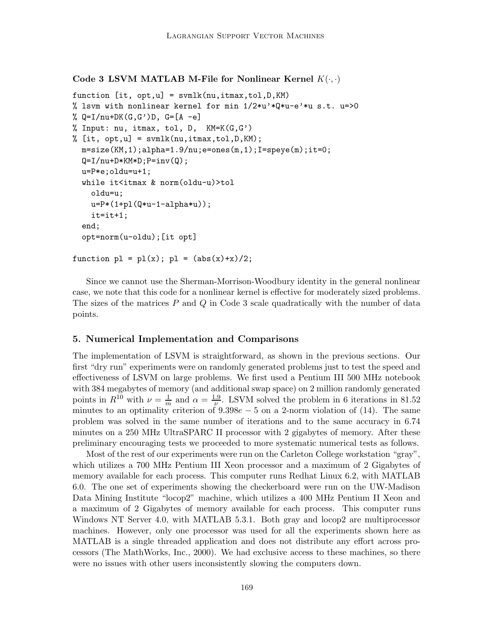### Code 3 LSVM MATLAB M-File for Nonlinear Kernel  $K(\cdot, \cdot)$

```
function [it, opt,u] = svmlk(nu,itmax,tol,D,KM)
% lsvm with nonlinear kernel for min 1/2*u'*Q*u-e'*u s.t. u=>0
\% Q=I/nu+DK(G,G')D, G=[A -e]
% Input: nu, itmax, tol, D, KM=K(G,G')
% [it, opt, u] = \text{swmlk}(nu, itmax, tol, D, KM);m = size(KM, 1);alpha=1.9/nu;e=ones(m,1);I=speye(m);it=0;
  Q=I/nu+D*KM*D; P=inv(Q);u=P*e;oldu=u+1;
  while it<itmax & norm(oldu-u)>tol
    oldu=u;
    u = P * (1 + p1(Q * u - 1 - \alpha) p h a * u));
    it=it+1;
  end;
  opt=norm(u-oldu);[it opt]
```

```
function p1 = p1(x); p1 = (abs(x)+x)/2;
```
Since we cannot use the Sherman-Morrison-Woodbury identity in the general nonlinear case, we note that this code for a nonlinear kernel is effective for moderately sized problems. The sizes of the matrices  $P$  and  $Q$  in Code 3 scale quadratically with the number of data points.

### 5. Numerical Implementation and Comparisons

The implementation of LSVM is straightforward, as shown in the previous sections. Our first "dry run" experiments were on randomly generated problems just to test the speed and effectiveness of LSVM on large problems. We first used a Pentium III 500 MHz notebook with 384 megabytes of memory (and additional swap space) on 2 million randomly generated points in  $R^{10}$  with  $\nu = \frac{1}{m}$  and  $\alpha = \frac{1.9}{\nu}$ . LSVM solved the problem in 6 iterations in 81.52 minutes to an optimality criterion of  $9.398e-5$  on a 2-norm violation of (14). The same problem was solved in the same number of iterations and to the same accuracy in 6.74 minutes on a 250 MHz UltraSPARC II processor with 2 gigabytes of memory. After these preliminary encouraging tests we proceeded to more systematic numerical tests as follows.

Most of the rest of our experiments were run on the Carleton College workstation "gray", which utilizes a 700 MHz Pentium III Xeon processor and a maximum of 2 Gigabytes of memory available for each process. This computer runs Redhat Linux 6.2, with MATLAB 6.0. The one set of experiments showing the checkerboard were run on the UW-Madison Data Mining Institute "locop2" machine, which utilizes a 400 MHz Pentium II Xeon and a maximum of 2 Gigabytes of memory available for each process. This computer runs Windows NT Server 4.0, with MATLAB 5.3.1. Both gray and locop2 are multiprocessor machines. However, only one processor was used for all the experiments shown here as MATLAB is a single threaded application and does not distribute any effort across processors (The MathWorks, Inc., 2000). We had exclusive access to these machines, so there were no issues with other users inconsistently slowing the computers down.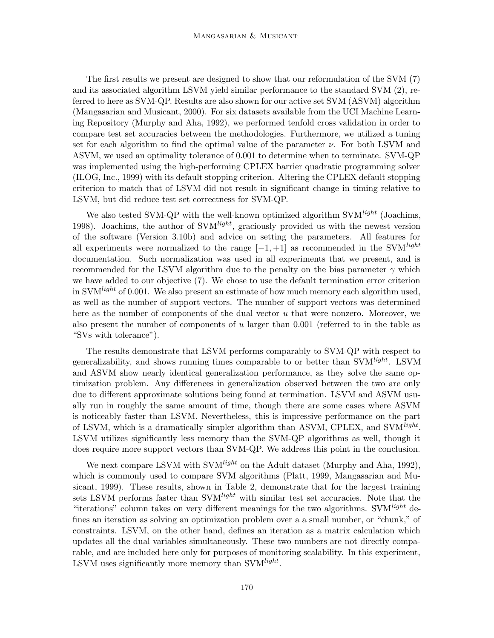The first results we present are designed to show that our reformulation of the SVM (7) and its associated algorithm LSVM yield similar performance to the standard SVM (2), referred to here as SVM-QP. Results are also shown for our active set SVM (ASVM) algorithm (Mangasarian and Musicant, 2000). For six datasets available from the UCI Machine Learning Repository (Murphy and Aha, 1992), we performed tenfold cross validation in order to compare test set accuracies between the methodologies. Furthermore, we utilized a tuning set for each algorithm to find the optimal value of the parameter  $\nu$ . For both LSVM and ASVM, we used an optimality tolerance of 0.001 to determine when to terminate. SVM-QP was implemented using the high-performing CPLEX barrier quadratic programming solver (ILOG, Inc., 1999) with its default stopping criterion. Altering the CPLEX default stopping criterion to match that of LSVM did not result in significant change in timing relative to LSVM, but did reduce test set correctness for SVM-QP.

We also tested SVM-QP with the well-known optimized algorithm SVM $^{light}$  (Joachims, 1998). Joachims, the author of  $\text{SVM}^{light}$ , graciously provided us with the newest version of the software (Version 3.10b) and advice on setting the parameters. All features for all experiments were normalized to the range  $[-1, +1]$  as recommended in the SVM<sup>light</sup> documentation. Such normalization was used in all experiments that we present, and is recommended for the LSVM algorithm due to the penalty on the bias parameter  $\gamma$  which we have added to our objective (7). We chose to use the default termination error criterion in SVM<sup>light</sup> of 0.001. We also present an estimate of how much memory each algorithm used, as well as the number of support vectors. The number of support vectors was determined here as the number of components of the dual vector u that were nonzero. Moreover, we also present the number of components of u larger than  $0.001$  (referred to in the table as "SVs with tolerance").

The results demonstrate that LSVM performs comparably to SVM-QP with respect to generalizability, and shows running times comparable to or better than SVM<sup>light</sup>. LSVM and ASVM show nearly identical generalization performance, as they solve the same optimization problem. Any differences in generalization observed between the two are only due to different approximate solutions being found at termination. LSVM and ASVM usually run in roughly the same amount of time, though there are some cases where ASVM is noticeably faster than LSVM. Nevertheless, this is impressive performance on the part of LSVM, which is a dramatically simpler algorithm than ASVM, CPLEX, and SVM<sup>light</sup>. LSVM utilizes significantly less memory than the SVM-QP algorithms as well, though it does require more support vectors than SVM-QP. We address this point in the conclusion.

We next compare LSVM with SVM<sup>light</sup> on the Adult dataset (Murphy and Aha, 1992), which is commonly used to compare SVM algorithms (Platt, 1999, Mangasarian and Musicant, 1999). These results, shown in Table 2, demonstrate that for the largest training sets LSVM performs faster than SVM<sup>light</sup> with similar test set accuracies. Note that the "iterations" column takes on very different meanings for the two algorithms. SVM<sup>light</sup> defines an iteration as solving an optimization problem over a a small number, or "chunk," of constraints. LSVM, on the other hand, defines an iteration as a matrix calculation which updates all the dual variables simultaneously. These two numbers are not directly comparable, and are included here only for purposes of monitoring scalability. In this experiment, LSVM uses significantly more memory than SVM $^{light}$ .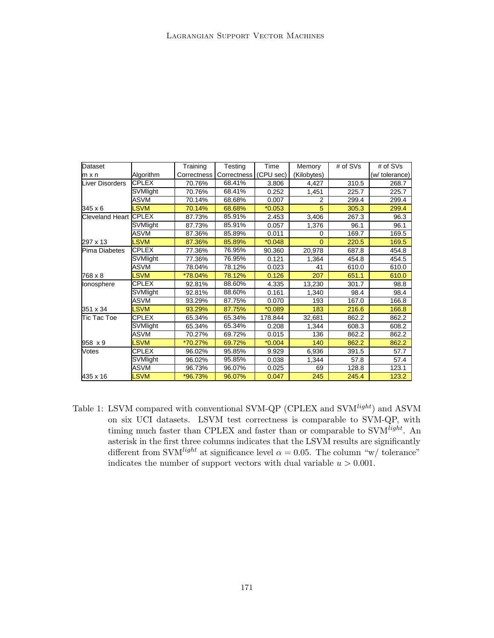| Dataset                      |                 | Training    | Testing     | Time      | Memory      | # of SVs | # of SVs       |
|------------------------------|-----------------|-------------|-------------|-----------|-------------|----------|----------------|
| m x n                        | Algorithm       | Correctness | Correctness | (CPU sec) | (Kilobytes) |          | (w/ tolerance) |
| <b>Liver Disorders</b>       | <b>CPLEX</b>    | 70.76%      | 68.41%      | 3.806     | 4,427       | 310.5    | 268.7          |
|                              | SVMlight        | 70.76%      | 68.41%      | 0.252     | 1,451       | 225.7    | 225.7          |
|                              | <b>ASVM</b>     | 70.14%      | 68.68%      | 0.007     | 2           | 299.4    | 299.4          |
| 345 x 6                      | <b>LSVM</b>     | 70.14%      | 68.68%      | $*0.053$  | 5           | 305.3    | 299.4          |
| <b>Cleveland Heart CPLEX</b> |                 | 87.73%      | 85.91%      | 2.453     | 3,406       | 267.3    | 96.3           |
|                              | <b>SVMlight</b> | 87.73%      | 85.91%      | 0.057     | 1,376       | 96.1     | 96.1           |
|                              | <b>ASVM</b>     | 87.36%      | 85.89%      | 0.011     | $\Omega$    | 169.7    | 169.5          |
| 297 x 13                     | <b>LSVM</b>     | 87.36%      | 85.89%      | $*0.048$  | $\Omega$    | 220.5    | 169.5          |
| Pima Diabetes                | <b>CPLEX</b>    | 77.36%      | 76.95%      | 90.360    | 20,978      | 687.8    | 454.8          |
|                              | SVMlight        | 77.36%      | 76.95%      | 0.121     | 1,364       | 454.8    | 454.5          |
|                              | ASVM            | 78.04%      | 78.12%      | 0.023     | 41          | 610.0    | 610.0          |
| 768 x 8                      | <b>LSVM</b>     | *78.04%     | 78.12%      | 0.126     | 207         | 651.1    | 610.0          |
| lonosphere                   | <b>CPLEX</b>    | 92.81%      | 88.60%      | 4.335     | 13,230      | 301.7    | 98.8           |
|                              | SVMlight        | 92.81%      | 88.60%      | 0.161     | 1,340       | 98.4     | 98.4           |
|                              | <b>ASVM</b>     | 93.29%      | 87.75%      | 0.070     | 193         | 167.0    | 166.8          |
| 351 x 34                     | <b>LSVM</b>     | 93.29%      | 87.75%      | $*0.089$  | 183         | 216.6    | 166.8          |
| Tic Tac Toe                  | CPLEX           | 65.34%      | 65.34%      | 178.844   | 32,681      | 862.2    | 862.2          |
|                              | SVMlight        | 65.34%      | 65.34%      | 0.208     | 1,344       | 608.3    | 608.2          |
|                              | ASVM            | 70.27%      | 69.72%      | 0.015     | 136         | 862.2    | 862.2          |
| 958 x 9                      | <b>LSVM</b>     | *70.27%     | 69.72%      | $*0.004$  | 140         | 862.2    | 862.2          |
| Votes                        | CPLEX           | 96.02%      | 95.85%      | 9.929     | 6,936       | 391.5    | 57.7           |
|                              | SVMlight        | 96.02%      | 95.85%      | 0.038     | 1,344       | 57.8     | 57.4           |
|                              | <b>ASVM</b>     | 96.73%      | 96.07%      | 0.025     | 69          | 128.8    | 123.1          |
| 435 x 16                     | <b>LSVM</b>     | *96.73%     | 96.07%      | 0.047     | 245         | 245.4    | 123.2          |

Table 1: LSVM compared with conventional SVM-QP (CPLEX and SVM<sup>light</sup>) and ASVM on six UCI datasets. LSVM test correctness is comparable to SVM-QP, with timing much faster than CPLEX and faster than or comparable to SVM<sup>light</sup>. An asterisk in the first three columns indicates that the LSVM results are significantly different from SVM<sup>light</sup> at significance level  $\alpha = 0.05$ . The column "w/ tolerance" indicates the number of support vectors with dual variable  $u > 0.001$ .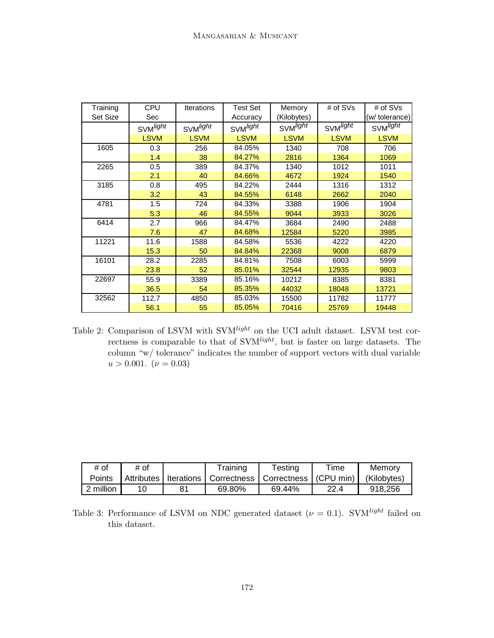| Training        | <b>CPU</b>           | <b>Iterations</b>    | Test Set             | Memory               | # of SVs             | # of SVs             |
|-----------------|----------------------|----------------------|----------------------|----------------------|----------------------|----------------------|
| <b>Set Size</b> | Sec                  |                      | Accuracy             | (Kilobytes)          |                      | (w/ tolerance)       |
|                 | SVM <sup>light</sup> | SVM <sup>light</sup> | SVM <sup>light</sup> | SVM <sup>light</sup> | SVM <sup>light</sup> | SVM <sup>light</sup> |
|                 | <b>LSVM</b>          | <b>LSVM</b>          | <b>LSVM</b>          | <b>LSVM</b>          | <b>LSVM</b>          | <b>LSVM</b>          |
| 1605            | 0.3                  | 256                  | 84.05%               | 1340                 | 708                  | 706                  |
|                 | 1.4                  | 38                   | 84.27%               | 2816                 | 1364                 | 1069                 |
| 2265            | 0.5                  | 389                  | 84.37%               | 1340                 | 1012                 | 1011                 |
|                 | 2.1                  | 40                   | 84.66%               | 4672                 | 1924                 | 1540                 |
| 3185            | 0.8                  | 495                  | 84.22%               | 2444                 | 1316                 | 1312                 |
|                 | 3.2                  | 43                   | 84.55%               | 6148                 | 2662                 | 2040                 |
| 4781            | 1.5                  | 724                  | 84.33%               | 3388                 | 1906                 | 1904                 |
|                 | 5.3                  | 46                   | 84.55%               | 9044                 | 3933                 | 3026                 |
| 6414            | 2.7                  | 966                  | 84.47%               | 3684                 | 2490                 | 2488                 |
|                 | 7.6                  | 47                   | 84.68%               | 12584                | 5220                 | 3985                 |
| 11221           | 11.6                 | 1588                 | 84.58%               | 5536                 | 4222                 | 4220                 |
|                 | 15.3                 | 50                   | 84.84%               | 22368                | 9008                 | 6879                 |
| 16101           | 28.2                 | 2285                 | 84.81%               | 7508                 | 6003                 | 5999                 |
|                 | 23.8                 | 52                   | 85.01%               | 32544                | 12935                | 9803                 |
| 22697           | 55.9                 | 3389                 | 85.16%               | 10212                | 8385                 | 8381                 |
|                 | 36.5                 | 54                   | 85.35%               | 44032                | 18048                | 13721                |
| 32562           | 112.7                | 4850                 | 85.03%               | 15500                | 11782                | 11777                |
|                 | 56.1                 | 55                   | 85.05%               | 70416                | 25769                | 19448                |

Table 2: Comparison of LSVM with  $\text{SVM}^\text{light}$  on the UCI adult dataset. LSVM test correctness is comparable to that of SVM<sup>light</sup>, but is faster on large datasets. The column "w/ tolerance" indicates the number of support vectors with dual variable  $u > 0.001$ .  $(\nu = 0.03)$ 

| # of      | # of |    | Fraining                                                        | Testing | $\tau$ ime | Memory      |
|-----------|------|----|-----------------------------------------------------------------|---------|------------|-------------|
| Points    |      |    | Attributes   Iterations   Correctness   Correctness   (CPU min) |         |            | (Kilobytes) |
| 2 million |      | 81 | 69.80%                                                          | 69.44%  | 22.4       | 918.256     |

Table 3: Performance of LSVM on NDC generated dataset ( $\nu = 0.1$ ). SVM<sup>light</sup> failed on this dataset.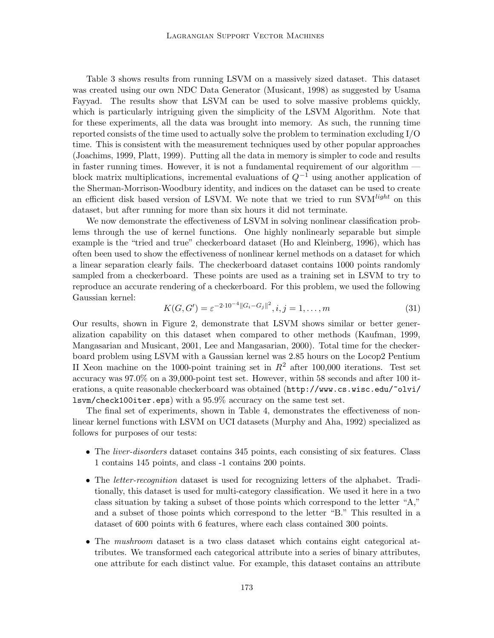Table 3 shows results from running LSVM on a massively sized dataset. This dataset was created using our own NDC Data Generator (Musicant, 1998) as suggested by Usama Fayyad. The results show that LSVM can be used to solve massive problems quickly, which is particularly intriguing given the simplicity of the LSVM Algorithm. Note that for these experiments, all the data was brought into memory. As such, the running time reported consists of the time used to actually solve the problem to termination excluding I/O time. This is consistent with the measurement techniques used by other popular approaches (Joachims, 1999, Platt, 1999). Putting all the data in memory is simpler to code and results in faster running times. However, it is not a fundamental requirement of our algorithm block matrix multiplications, incremental evaluations of  $Q^{-1}$  using another application of the Sherman-Morrison-Woodbury identity, and indices on the dataset can be used to create an efficient disk based version of LSVM. We note that we tried to run SVM<sup>light</sup> on this dataset, but after running for more than six hours it did not terminate.

We now demonstrate the effectiveness of LSVM in solving nonlinear classification problems through the use of kernel functions. One highly nonlinearly separable but simple example is the "tried and true" checkerboard dataset (Ho and Kleinberg, 1996), which has often been used to show the effectiveness of nonlinear kernel methods on a dataset for which a linear separation clearly fails. The checkerboard dataset contains 1000 points randomly sampled from a checkerboard. These points are used as a training set in LSVM to try to reproduce an accurate rendering of a checkerboard. For this problem, we used the following Gaussian kernel:

$$
K(G, G') = \varepsilon^{-2 \cdot 10^{-4} \|G_i - G_j\|^2}, i, j = 1, \dots, m
$$
\n(31)

Our results, shown in Figure 2, demonstrate that LSVM shows similar or better generalization capability on this dataset when compared to other methods (Kaufman, 1999, Mangasarian and Musicant, 2001, Lee and Mangasarian, 2000). Total time for the checkerboard problem using LSVM with a Gaussian kernel was 2.85 hours on the Locop2 Pentium II Xeon machine on the 1000-point training set in  $R^2$  after 100,000 iterations. Test set accuracy was 97.0% on a 39,000-point test set. However, within 58 seconds and after 100 iterations, a quite reasonable checkerboard was obtained (http://www.cs.wisc.edu/~olvi/ lsvm/check100iter.eps) with a 95.9% accuracy on the same test set.

The final set of experiments, shown in Table 4, demonstrates the effectiveness of nonlinear kernel functions with LSVM on UCI datasets (Murphy and Aha, 1992) specialized as follows for purposes of our tests:

- The *liver-disorders* dataset contains 345 points, each consisting of six features. Class 1 contains 145 points, and class -1 contains 200 points.
- The *letter-recognition* dataset is used for recognizing letters of the alphabet. Traditionally, this dataset is used for multi-category classification. We used it here in a two class situation by taking a subset of those points which correspond to the letter "A," and a subset of those points which correspond to the letter "B." This resulted in a dataset of 600 points with 6 features, where each class contained 300 points.
- The mushroom dataset is a two class dataset which contains eight categorical attributes. We transformed each categorical attribute into a series of binary attributes, one attribute for each distinct value. For example, this dataset contains an attribute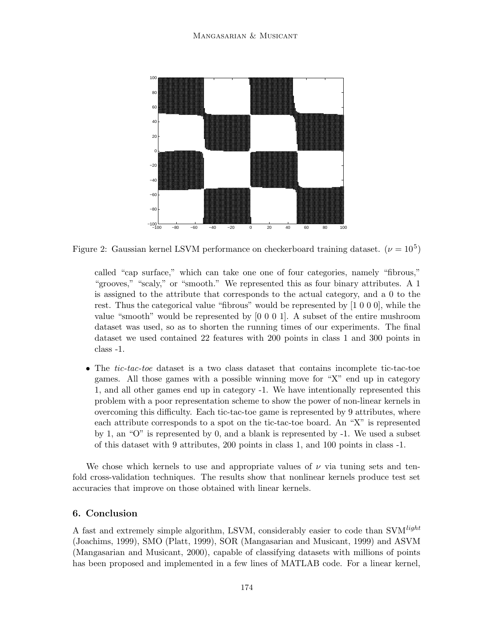

Figure 2: Gaussian kernel LSVM performance on checkerboard training dataset.  $(\nu = 10^5)$ 

called "cap surface," which can take one one of four categories, namely "fibrous," "grooves," "scaly," or "smooth." We represented this as four binary attributes. A 1 is assigned to the attribute that corresponds to the actual category, and a 0 to the rest. Thus the categorical value "fibrous" would be represented by [1 0 0 0], while the value "smooth" would be represented by [0 0 0 1]. A subset of the entire mushroom dataset was used, so as to shorten the running times of our experiments. The final dataset we used contained 22 features with 200 points in class 1 and 300 points in class -1.

• The tic-tac-toe dataset is a two class dataset that contains incomplete tic-tac-toe games. All those games with a possible winning move for "X" end up in category 1, and all other games end up in category -1. We have intentionally represented this problem with a poor representation scheme to show the power of non-linear kernels in overcoming this difficulty. Each tic-tac-toe game is represented by 9 attributes, where each attribute corresponds to a spot on the tic-tac-toe board. An "X" is represented by 1, an "O" is represented by 0, and a blank is represented by -1. We used a subset of this dataset with 9 attributes, 200 points in class 1, and 100 points in class -1.

We chose which kernels to use and appropriate values of  $\nu$  via tuning sets and tenfold cross-validation techniques. The results show that nonlinear kernels produce test set accuracies that improve on those obtained with linear kernels.

## 6. Conclusion

A fast and extremely simple algorithm, LSVM, considerably easier to code than SVM<sup>light</sup> (Joachims, 1999), SMO (Platt, 1999), SOR (Mangasarian and Musicant, 1999) and ASVM (Mangasarian and Musicant, 2000), capable of classifying datasets with millions of points has been proposed and implemented in a few lines of MATLAB code. For a linear kernel,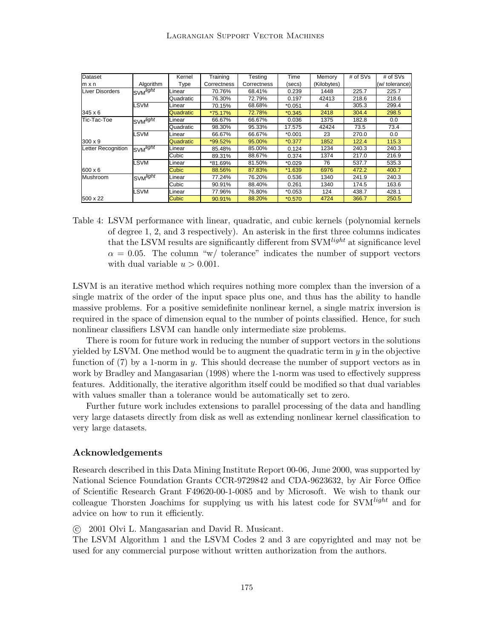| Dataset                |                       | Kernel       | Training    | Testing     | Time     | Memory      | # of SVs | # of SVs       |
|------------------------|-----------------------|--------------|-------------|-------------|----------|-------------|----------|----------------|
| $m \times n$           | Algorithm             | Type         | Correctness | Correctness | (secs)   | (Kilobytes) |          | (w/ tolerance) |
| <b>Liver Disorders</b> | SVM <sup>light</sup>  | Linear       | 70.76%      | 68.41%      | 0.239    | 1448        | 225.7    | 225.7          |
|                        |                       | Quadratic    | 76.30%      | 72.79%      | 0.197    | 42413       | 218.6    | 218.6          |
|                        | _SVM                  | Linear       | 70.15%      | 68.68%      | $*0.051$ | 4           | 305.3    | 299.4          |
| 345 x 6                |                       | Quadratic    | *75.17%     | 72.78%      | $*0.345$ | 2418        | 304.4    | 298.5          |
| Tic-Tac-Toe            | SVM <sup>light</sup>  | Linear       | 66.67%      | 66.67%      | 0.036    | 1375        | 182.8    | 0.0            |
|                        |                       | Quadratic    | 98.30%      | 95.33%      | 17.575   | 42424       | 73.5     | 73.4           |
|                        | <b>_SVM</b>           | Linear       | 66.67%      | 66.67%      | $*0.001$ | 23          | 270.0    | 0.0            |
| $300 \times 9$         |                       | Quadratic    | *99.52%     | 95.00%      | $*0.377$ | 1852        | 122.4    | 115.3          |
| Letter Recognition     | SVM <sup>light</sup>  | Linear       | 85.48%      | 85.00%      | 0.124    | 1234        | 240.3    | 240.3          |
|                        |                       | Cubic        | 89.31%      | 88.67%      | 0.374    | 1374        | 217.0    | 216.9          |
|                        | <b>SVM</b>            | Linear       | *81.69%     | 81.50%      | $*0.029$ | 76          | 537.7    | 535.3          |
| 600 x 6                |                       | <b>Cubic</b> | 88.56%      | 87.83%      | $*1.639$ | 6976        | 472.2    | 400.7          |
| Mushroom               | ISVM <sup>light</sup> | Linear       | 77.24%      | 76.20%      | 0.536    | 1340        | 241.9    | 240.3          |
|                        |                       | Cubic        | 90.91%      | 88.40%      | 0.261    | 1340        | 174.5    | 163.6          |
|                        | LSVM                  | Linear       | 77.96%      | 76.80%      | $*0.053$ | 124         | 438.7    | 428.1          |
| 500 x 22               |                       | Cubic        | 90.91%      | 88.20%      | $*0.570$ | 4724        | 366.7    | 250.5          |

Table 4: LSVM performance with linear, quadratic, and cubic kernels (polynomial kernels of degree 1, 2, and 3 respectively). An asterisk in the first three columns indicates that the LSVM results are significantly different from  $\text{SVM}^{light}$  at significance level  $\alpha = 0.05$ . The column "w/ tolerance" indicates the number of support vectors with dual variable  $u > 0.001$ .

LSVM is an iterative method which requires nothing more complex than the inversion of a single matrix of the order of the input space plus one, and thus has the ability to handle massive problems. For a positive semidefinite nonlinear kernel, a single matrix inversion is required in the space of dimension equal to the number of points classified. Hence, for such nonlinear classifiers LSVM can handle only intermediate size problems.

There is room for future work in reducing the number of support vectors in the solutions yielded by LSVM. One method would be to augment the quadratic term in  $y$  in the objective function of  $(7)$  by a 1-norm in y. This should decrease the number of support vectors as in work by Bradley and Mangasarian (1998) where the 1-norm was used to effectively suppress features. Additionally, the iterative algorithm itself could be modified so that dual variables with values smaller than a tolerance would be automatically set to zero.

Further future work includes extensions to parallel processing of the data and handling very large datasets directly from disk as well as extending nonlinear kernel classification to very large datasets.

### Acknowledgements

Research described in this Data Mining Institute Report 00-06, June 2000, was supported by National Science Foundation Grants CCR-9729842 and CDA-9623632, by Air Force Office of Scientific Research Grant F49620-00-1-0085 and by Microsoft. We wish to thank our colleague Thorsten Joachims for supplying us with his latest code for  $\text{SVM}^\textit{light}$  and for advice on how to run it efficiently.

c 2001 Olvi L. Mangasarian and David R. Musicant.

The LSVM Algorithm 1 and the LSVM Codes 2 and 3 are copyrighted and may not be used for any commercial purpose without written authorization from the authors.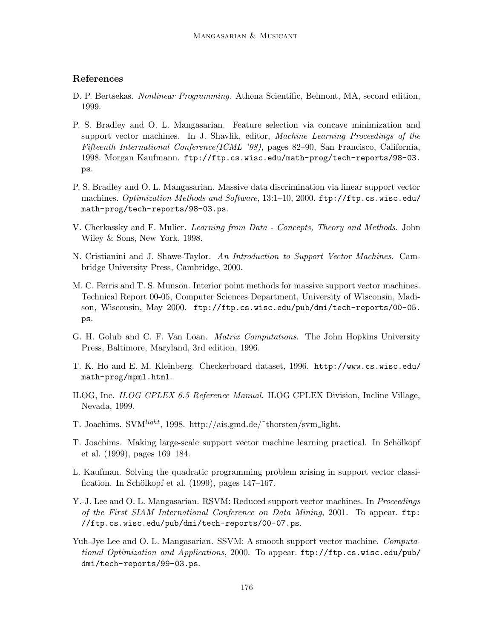### References

- D. P. Bertsekas. *Nonlinear Programming.* Athena Scientific, Belmont, MA, second edition, 1999.
- P. S. Bradley and O. L. Mangasarian. Feature selection via concave minimization and support vector machines. In J. Shavlik, editor, Machine Learning Proceedings of the Fifteenth International Conference(ICML '98), pages 82–90, San Francisco, California, 1998. Morgan Kaufmann. ftp://ftp.cs.wisc.edu/math-prog/tech-reports/98-03. ps.
- P. S. Bradley and O. L. Mangasarian. Massive data discrimination via linear support vector machines. Optimization Methods and Software, 13:1–10, 2000. ftp://ftp.cs.wisc.edu/ math-prog/tech-reports/98-03.ps.
- V. Cherkassky and F. Mulier. Learning from Data Concepts, Theory and Methods. John Wiley & Sons, New York, 1998.
- N. Cristianini and J. Shawe-Taylor. An Introduction to Support Vector Machines. Cambridge University Press, Cambridge, 2000.
- M. C. Ferris and T. S. Munson. Interior point methods for massive support vector machines. Technical Report 00-05, Computer Sciences Department, University of Wisconsin, Madison, Wisconsin, May 2000. ftp://ftp.cs.wisc.edu/pub/dmi/tech-reports/00-05. ps.
- G. H. Golub and C. F. Van Loan. *Matrix Computations*. The John Hopkins University Press, Baltimore, Maryland, 3rd edition, 1996.
- T. K. Ho and E. M. Kleinberg. Checkerboard dataset, 1996. http://www.cs.wisc.edu/ math-prog/mpml.html.
- ILOG, Inc. ILOG CPLEX 6.5 Reference Manual. ILOG CPLEX Division, Incline Village, Nevada, 1999.
- T. Joachims. SV $M^{light}$ , 1998. http://ais.gmd.de/~thorsten/svm\_light.
- T. Joachims. Making large-scale support vector machine learning practical. In Schölkopf et al. (1999), pages 169–184.
- L. Kaufman. Solving the quadratic programming problem arising in support vector classification. In Schölkopf et al.  $(1999)$ , pages  $147-167$ .
- Y.-J. Lee and O. L. Mangasarian. RSVM: Reduced support vector machines. In *Proceedings* of the First SIAM International Conference on Data Mining, 2001. To appear. ftp: //ftp.cs.wisc.edu/pub/dmi/tech-reports/00-07.ps.
- Yuh-Jye Lee and O. L. Mangasarian. SSVM: A smooth support vector machine. Computational Optimization and Applications, 2000. To appear. ftp://ftp.cs.wisc.edu/pub/ dmi/tech-reports/99-03.ps.